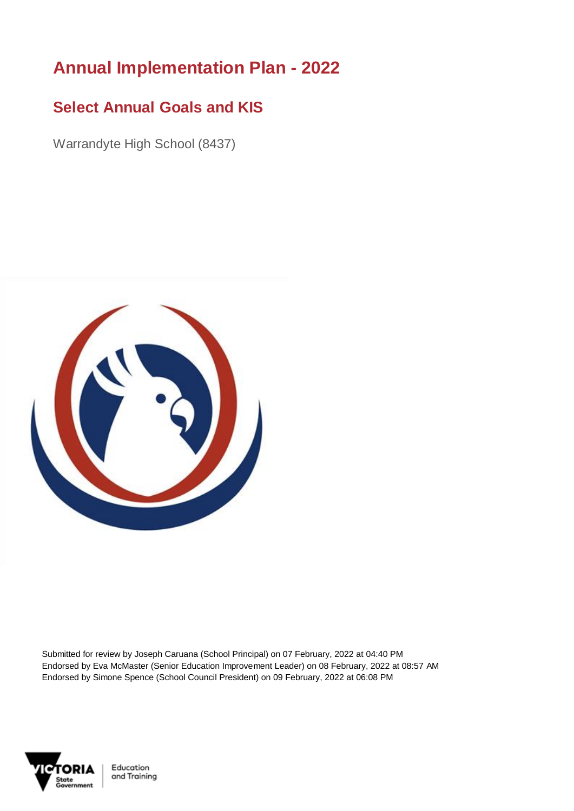## **Annual Implementation Plan - 2022**

## **Select Annual Goals and KIS**

Warrandyte High School (8437)



Submitted for review by Joseph Caruana (School Principal) on 07 February, 2022 at 04:40 PM Endorsed by Eva McMaster (Senior Education Improvement Leader) on 08 February, 2022 at 08:57 AM Endorsed by Simone Spence (School Council President) on 09 February, 2022 at 06:08 PM



Education and Training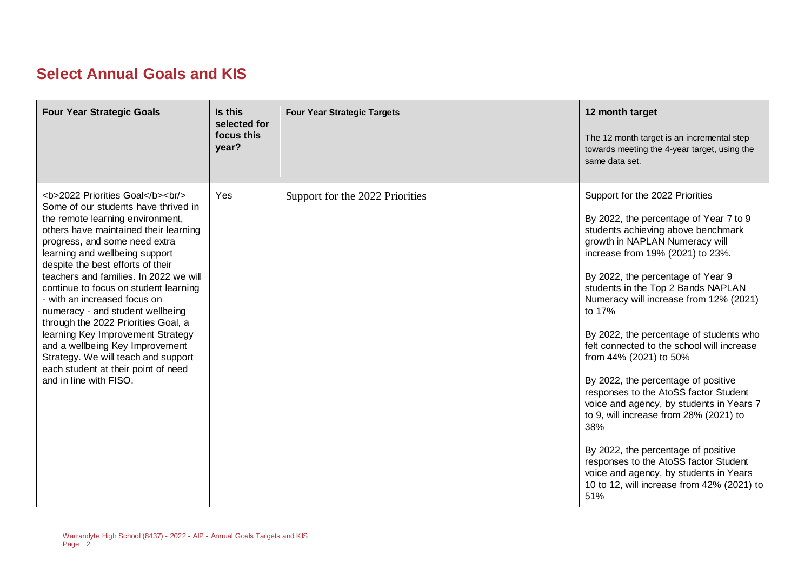## **Select Annual Goals and KIS**

| <b>Four Year Strategic Goals</b>                                                                                                                                                              | Is this<br>selected for<br>focus this<br>year? | <b>Four Year Strategic Targets</b> | 12 month target<br>The 12 month target is an incremental step<br>towards meeting the 4-year target, using the<br>same data set.                                                                                                                                                                                                                                                                                                                                                                                                                                                                                                                                                                                                                                                                     |
|-----------------------------------------------------------------------------------------------------------------------------------------------------------------------------------------------|------------------------------------------------|------------------------------------|-----------------------------------------------------------------------------------------------------------------------------------------------------------------------------------------------------------------------------------------------------------------------------------------------------------------------------------------------------------------------------------------------------------------------------------------------------------------------------------------------------------------------------------------------------------------------------------------------------------------------------------------------------------------------------------------------------------------------------------------------------------------------------------------------------|
| <b>2022 Priorities Goal</b><br><br><br>Some of our students have thrived in<br>the remote learning environment,<br>others have maintained their learning<br>progress, and some need extra<br> | Yes                                            | Support for the 2022 Priorities    | Support for the 2022 Priorities<br>By 2022, the percentage of Year 7 to 9<br>students achieving above benchmark<br>growth in NAPLAN Numeracy will<br>increase from 19% (2021) to 23%.<br>By 2022, the percentage of Year 9<br>students in the Top 2 Bands NAPLAN<br>Numeracy will increase from 12% (2021)<br>to 17%<br>By 2022, the percentage of students who<br>felt connected to the school will increase<br>from 44% (2021) to 50%<br>By 2022, the percentage of positive<br>responses to the AtoSS factor Student<br>voice and agency, by students in Years 7<br>to 9, will increase from 28% (2021) to<br>38%<br>By 2022, the percentage of positive<br>responses to the AtoSS factor Student<br>voice and agency, by students in Years<br>10 to 12, will increase from 42% (2021) to<br>51% |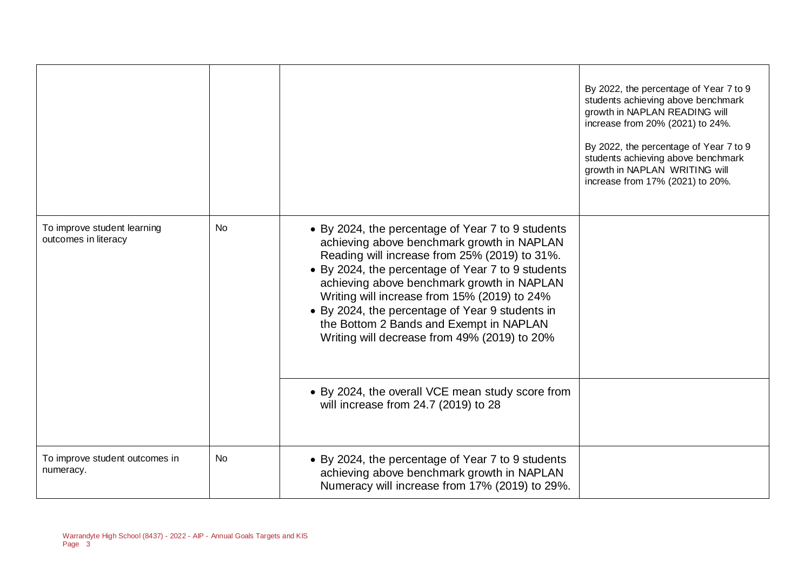|                                                     |           |                                                                                                                                                                                                                                                                                                                                                                                                                                                   | By 2022, the percentage of Year 7 to 9<br>students achieving above benchmark<br>growth in NAPLAN READING will<br>increase from 20% (2021) to 24%.<br>By 2022, the percentage of Year 7 to 9<br>students achieving above benchmark<br>growth in NAPLAN WRITING will<br>increase from 17% (2021) to 20%. |
|-----------------------------------------------------|-----------|---------------------------------------------------------------------------------------------------------------------------------------------------------------------------------------------------------------------------------------------------------------------------------------------------------------------------------------------------------------------------------------------------------------------------------------------------|--------------------------------------------------------------------------------------------------------------------------------------------------------------------------------------------------------------------------------------------------------------------------------------------------------|
| To improve student learning<br>outcomes in literacy | <b>No</b> | • By 2024, the percentage of Year 7 to 9 students<br>achieving above benchmark growth in NAPLAN<br>Reading will increase from 25% (2019) to 31%.<br>• By 2024, the percentage of Year 7 to 9 students<br>achieving above benchmark growth in NAPLAN<br>Writing will increase from 15% (2019) to 24%<br>• By 2024, the percentage of Year 9 students in<br>the Bottom 2 Bands and Exempt in NAPLAN<br>Writing will decrease from 49% (2019) to 20% |                                                                                                                                                                                                                                                                                                        |
|                                                     |           | • By 2024, the overall VCE mean study score from<br>will increase from 24.7 (2019) to 28                                                                                                                                                                                                                                                                                                                                                          |                                                                                                                                                                                                                                                                                                        |
| To improve student outcomes in<br>numeracy.         | <b>No</b> | • By 2024, the percentage of Year 7 to 9 students<br>achieving above benchmark growth in NAPLAN<br>Numeracy will increase from 17% (2019) to 29%.                                                                                                                                                                                                                                                                                                 |                                                                                                                                                                                                                                                                                                        |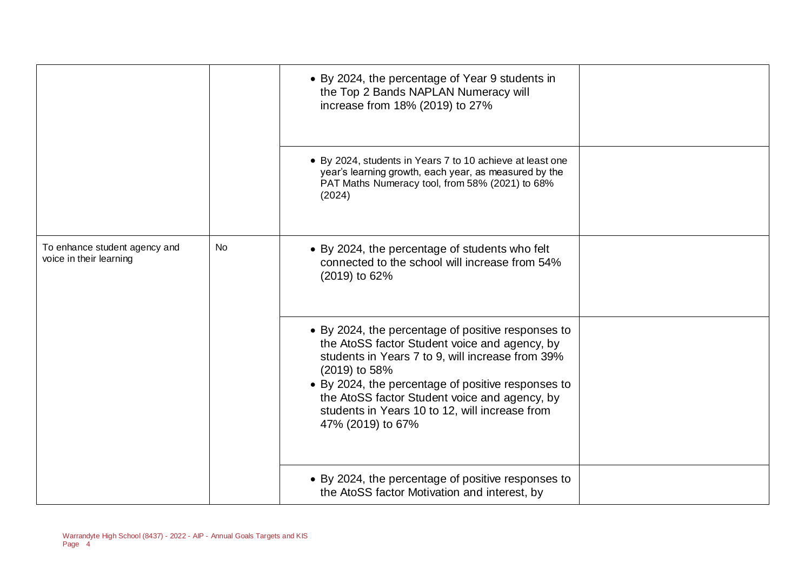|                                                          |           | • By 2024, the percentage of Year 9 students in<br>the Top 2 Bands NAPLAN Numeracy will<br>increase from 18% (2019) to 27%                                                                                                                                                                                                                             |  |
|----------------------------------------------------------|-----------|--------------------------------------------------------------------------------------------------------------------------------------------------------------------------------------------------------------------------------------------------------------------------------------------------------------------------------------------------------|--|
|                                                          |           | • By 2024, students in Years 7 to 10 achieve at least one<br>year's learning growth, each year, as measured by the<br>PAT Maths Numeracy tool, from 58% (2021) to 68%<br>(2024)                                                                                                                                                                        |  |
| To enhance student agency and<br>voice in their learning | <b>No</b> | • By 2024, the percentage of students who felt<br>connected to the school will increase from 54%<br>(2019) to 62%                                                                                                                                                                                                                                      |  |
|                                                          |           | • By 2024, the percentage of positive responses to<br>the AtoSS factor Student voice and agency, by<br>students in Years 7 to 9, will increase from 39%<br>(2019) to 58%<br>• By 2024, the percentage of positive responses to<br>the AtoSS factor Student voice and agency, by<br>students in Years 10 to 12, will increase from<br>47% (2019) to 67% |  |
|                                                          |           | • By 2024, the percentage of positive responses to<br>the AtoSS factor Motivation and interest, by                                                                                                                                                                                                                                                     |  |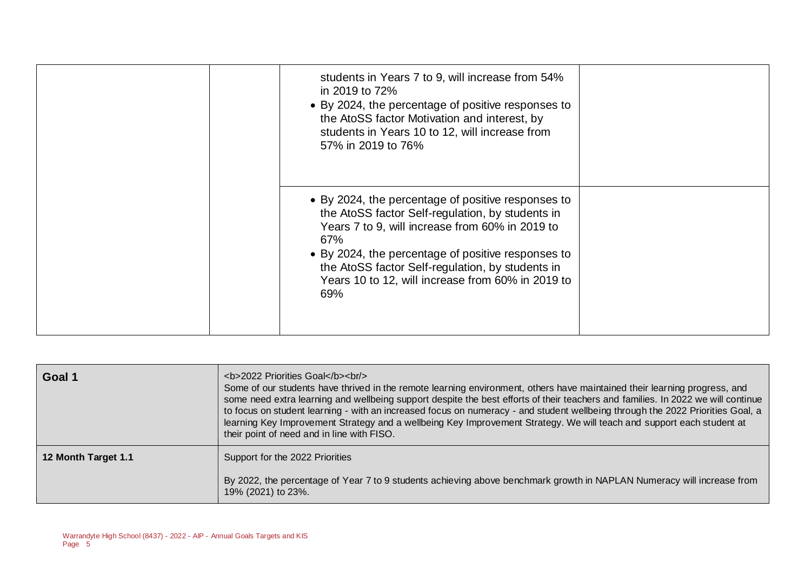| students in Years 7 to 9, will increase from 54%<br>in 2019 to 72%<br>• By 2024, the percentage of positive responses to<br>the AtoSS factor Motivation and interest, by<br>students in Years 10 to 12, will increase from<br>57% in 2019 to 76%                                                                                       |  |
|----------------------------------------------------------------------------------------------------------------------------------------------------------------------------------------------------------------------------------------------------------------------------------------------------------------------------------------|--|
| • By 2024, the percentage of positive responses to<br>the AtoSS factor Self-regulation, by students in<br>Years 7 to 9, will increase from 60% in 2019 to<br>67%<br>• By 2024, the percentage of positive responses to<br>the AtoSS factor Self-regulation, by students in<br>Years 10 to 12, will increase from 60% in 2019 to<br>69% |  |

| Goal 1              | <b>2022 Priorities Goal</b><br><br><br>Some of our students have thrived in the remote learning environment, others have maintained their learning progress, and<br>some need extra learning and wellbeing support despite the best efforts of their teachers and families. In 2022 we will continue<br>to focus on student learning - with an increased focus on numeracy - and student wellbeing through the 2022 Priorities Goal, a<br>learning Key Improvement Strategy and a wellbeing Key Improvement Strategy. We will teach and support each student at<br>their point of need and in line with FISO. |
|---------------------|---------------------------------------------------------------------------------------------------------------------------------------------------------------------------------------------------------------------------------------------------------------------------------------------------------------------------------------------------------------------------------------------------------------------------------------------------------------------------------------------------------------------------------------------------------------------------------------------------------------|
| 12 Month Target 1.1 | Support for the 2022 Priorities<br>By 2022, the percentage of Year 7 to 9 students achieving above benchmark growth in NAPLAN Numeracy will increase from<br>19% (2021) to 23%.                                                                                                                                                                                                                                                                                                                                                                                                                               |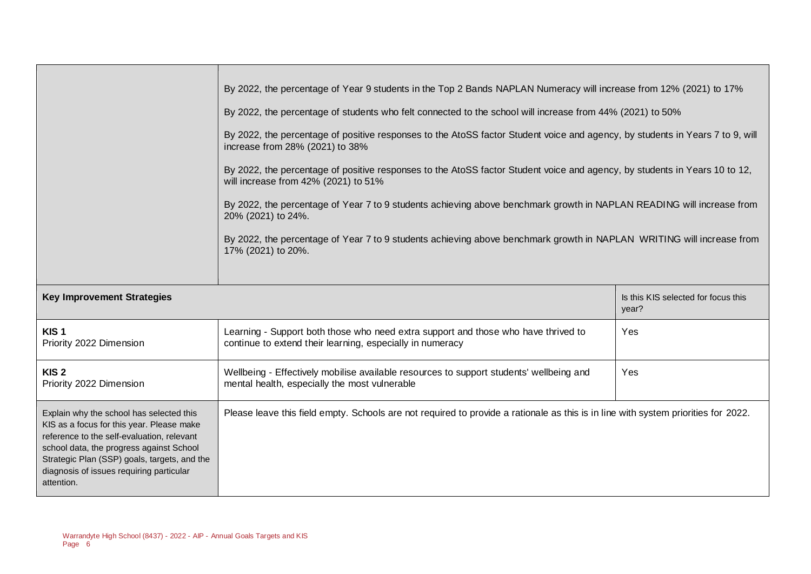|                                                                                                                                                                                                                                                                                           | By 2022, the percentage of Year 9 students in the Top 2 Bands NAPLAN Numeracy will increase from 12% (2021) to 17%<br>By 2022, the percentage of students who felt connected to the school will increase from 44% (2021) to 50%<br>By 2022, the percentage of positive responses to the AtoSS factor Student voice and agency, by students in Years 7 to 9, will<br>increase from 28% (2021) to 38%<br>By 2022, the percentage of positive responses to the AtoSS factor Student voice and agency, by students in Years 10 to 12,<br>will increase from 42% (2021) to 51%<br>By 2022, the percentage of Year 7 to 9 students achieving above benchmark growth in NAPLAN READING will increase from<br>20% (2021) to 24%.<br>By 2022, the percentage of Year 7 to 9 students achieving above benchmark growth in NAPLAN WRITING will increase from<br>17% (2021) to 20%. |                                              |  |
|-------------------------------------------------------------------------------------------------------------------------------------------------------------------------------------------------------------------------------------------------------------------------------------------|-------------------------------------------------------------------------------------------------------------------------------------------------------------------------------------------------------------------------------------------------------------------------------------------------------------------------------------------------------------------------------------------------------------------------------------------------------------------------------------------------------------------------------------------------------------------------------------------------------------------------------------------------------------------------------------------------------------------------------------------------------------------------------------------------------------------------------------------------------------------------|----------------------------------------------|--|
| <b>Key Improvement Strategies</b>                                                                                                                                                                                                                                                         |                                                                                                                                                                                                                                                                                                                                                                                                                                                                                                                                                                                                                                                                                                                                                                                                                                                                         | Is this KIS selected for focus this<br>year? |  |
| KIS <sub>1</sub><br>Priority 2022 Dimension                                                                                                                                                                                                                                               | Learning - Support both those who need extra support and those who have thrived to<br>continue to extend their learning, especially in numeracy                                                                                                                                                                                                                                                                                                                                                                                                                                                                                                                                                                                                                                                                                                                         | Yes                                          |  |
| KIS <sub>2</sub><br>Priority 2022 Dimension                                                                                                                                                                                                                                               | Wellbeing - Effectively mobilise available resources to support students' wellbeing and<br>mental health, especially the most vulnerable                                                                                                                                                                                                                                                                                                                                                                                                                                                                                                                                                                                                                                                                                                                                | Yes                                          |  |
| Explain why the school has selected this<br>KIS as a focus for this year. Please make<br>reference to the self-evaluation, relevant<br>school data, the progress against School<br>Strategic Plan (SSP) goals, targets, and the<br>diagnosis of issues requiring particular<br>attention. | Please leave this field empty. Schools are not required to provide a rationale as this is in line with system priorities for 2022.                                                                                                                                                                                                                                                                                                                                                                                                                                                                                                                                                                                                                                                                                                                                      |                                              |  |